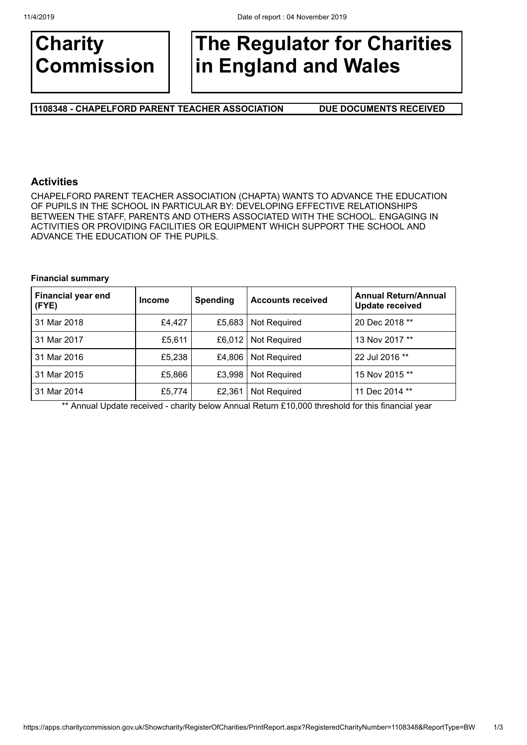

# **The Regulator for Charities in England and Wales**

**1108348 - CHAPELFORD PARENT TEACHER ASSOCIATION DUE DOCUMENTS RECEIVED**

## **Activities**

CHAPELFORD PARENT TEACHER ASSOCIATION (CHAPTA) WANTS TO ADVANCE THE EDUCATION OF PUPILS IN THE SCHOOL IN PARTICULAR BY: DEVELOPING EFFECTIVE RELATIONSHIPS BETWEEN THE STAFF, PARENTS AND OTHERS ASSOCIATED WITH THE SCHOOL. ENGAGING IN ACTIVITIES OR PROVIDING FACILITIES OR EQUIPMENT WHICH SUPPORT THE SCHOOL AND ADVANCE THE EDUCATION OF THE PUPILS.

#### **Financial summary**

| <b>Financial year end</b><br>(FYE) | <b>Income</b> | <b>Spending</b> | <b>Accounts received</b> | <b>Annual Return/Annual</b><br><b>Update received</b> |
|------------------------------------|---------------|-----------------|--------------------------|-------------------------------------------------------|
| 31 Mar 2018                        | £4,427        | £5,683          | Not Required             | 20 Dec 2018 **                                        |
| 31 Mar 2017                        | £5,611        | £6.012          | <b>Not Required</b>      | 13 Nov 2017 **                                        |
| 31 Mar 2016                        | £5,238        | £4,806          | <b>Not Required</b>      | 22 Jul 2016 **                                        |
| 31 Mar 2015                        | £5,866        | £3,998          | Not Required             | 15 Nov 2015 **                                        |
| 31 Mar 2014                        | £5,774        | £2,361          | <b>Not Required</b>      | 11 Dec 2014 **                                        |

\*\* Annual Update received - charity below Annual Return £10,000 threshold for this financial year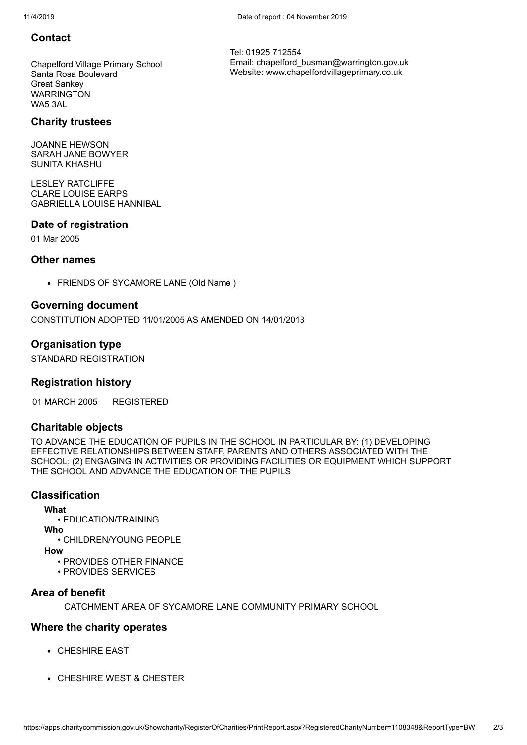## **Contact**

Chapelford Village Primary School Santa Rosa Boulevard Great Sankey **WARRINGTON** WA5 3AL

## **Charity trustees**

JOANNE HEWSON SARAH JANE BOWYER SUNITA KHASHU

LESLEY RATCLIFFE CLARE LOUISE EARPS GABRIELLA LOUISE HANNIBAL

## **Date of registration**

01 Mar 2005

## **Other names**

FRIENDS OF SYCAMORE LANE (Old Name )

## **Governing document**

CONSTITUTION ADOPTED 11/01/2005 AS AMENDED ON 14/01/2013

## **Organisation type**

STANDARD REGISTRATION

## **Registration history**

01 MARCH 2005 REGISTERED

## **Charitable objects**

TO ADVANCE THE EDUCATION OF PUPILS IN THE SCHOOL IN PARTICULAR BY: (1) DEVELOPING EFFECTIVE RELATIONSHIPS BETWEEN STAFF, PARENTS AND OTHERS ASSOCIATED WITH THE SCHOOL; (2) ENGAGING IN ACTIVITIES OR PROVIDING FACILITIES OR EQUIPMENT WHICH SUPPORT THE SCHOOL AND ADVANCE THE EDUCATION OF THE PUPILS

## **Classification**

**What**

• EDUCATION/TRAINING

**Who**

• CHILDREN/YOUNG PEOPI F

**How**

- PROVIDES OTHER FINANCE
- PROVIDES SERVICES

## **Area of benefit**

CATCHMENT AREA OF SYCAMORE LANE COMMUNITY PRIMARY SCHOOL

## **Where the charity operates**

- CHESHIRE EAST
- CHESHIRE WEST & CHESTER

Tel: 01925 712554 Email: chapelford\_busman@warrington.gov.uk Website: www.chapelfordvillageprimary.co.uk